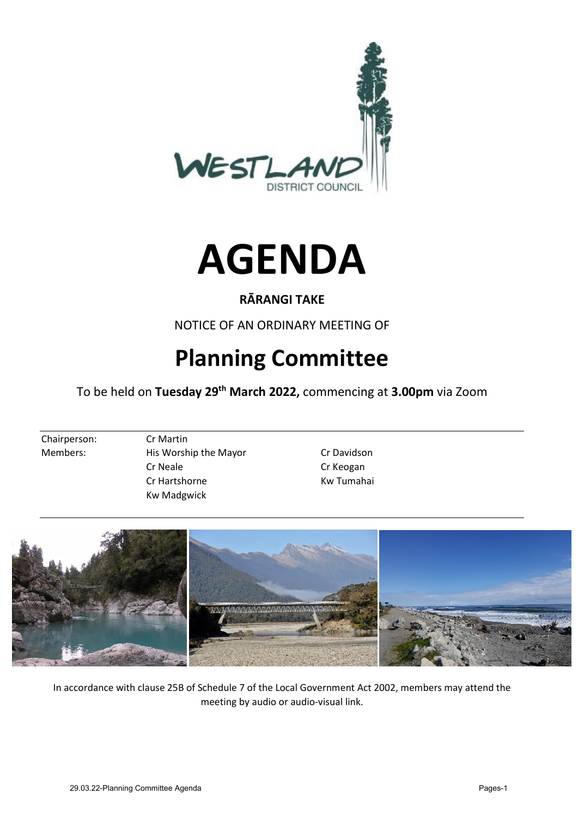



# **RĀRANGI TAKE**

NOTICE OF AN ORDINARY MEETING OF

# **Planning Committee**

To be held on **Tuesday 29th March 2022,** commencing at **3.00pm** via Zoom

Chairperson: Cr Martin

- Members: His Worship the Mayor Cr Davidson Cr Neale Cr Keogan Cr Hartshorne Kw Tumahai Kw Madgwick
	-



In accordance with clause 25B of Schedule 7 of the Local Government Act 2002, members may attend the meeting by audio or audio-visual link.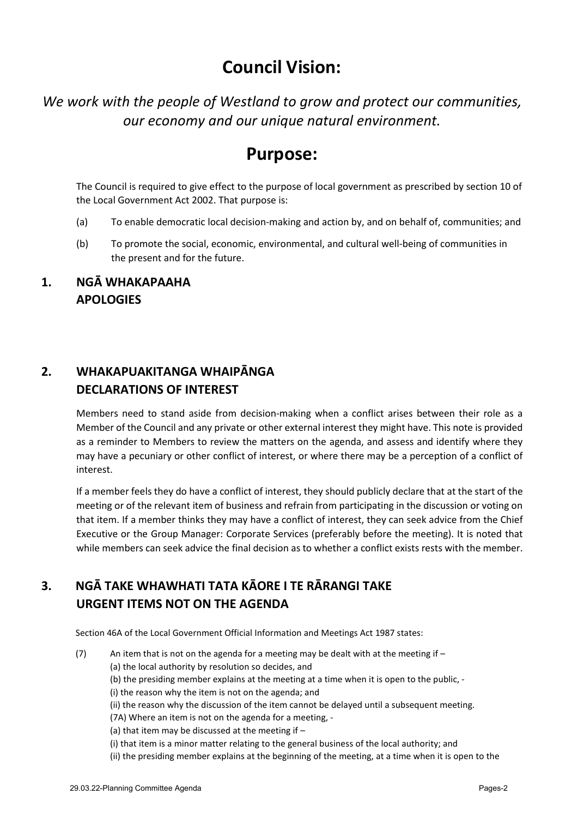# **Council Vision:**

*We work with the people of Westland to grow and protect our communities, our economy and our unique natural environment.* 

# **Purpose:**

The Council is required to give effect to the purpose of local government as prescribed by section 10 of the Local Government Act 2002. That purpose is:

- (a) To enable democratic local decision-making and action by, and on behalf of, communities; and
- (b) To promote the social, economic, environmental, and cultural well-being of communities in the present and for the future.

## **1. NGĀ WHAKAPAAHA APOLOGIES**

# **2. WHAKAPUAKITANGA WHAIPĀNGA DECLARATIONS OF INTEREST**

Members need to stand aside from decision-making when a conflict arises between their role as a Member of the Council and any private or other external interest they might have. This note is provided as a reminder to Members to review the matters on the agenda, and assess and identify where they may have a pecuniary or other conflict of interest, or where there may be a perception of a conflict of interest.

If a member feels they do have a conflict of interest, they should publicly declare that at the start of the meeting or of the relevant item of business and refrain from participating in the discussion or voting on that item. If a member thinks they may have a conflict of interest, they can seek advice from the Chief Executive or the Group Manager: Corporate Services (preferably before the meeting). It is noted that while members can seek advice the final decision as to whether a conflict exists rests with the member.

# **3. NGĀ TAKE WHAWHATI TATA KĀORE I TE RĀRANGI TAKE URGENT ITEMS NOT ON THE AGENDA**

Section 46A of the Local Government Official Information and Meetings Act 1987 states:

- (7) An item that is not on the agenda for a meeting may be dealt with at the meeting if  $-$ 
	- (a) the local authority by resolution so decides, and
	- (b) the presiding member explains at the meeting at a time when it is open to the public, -
	- (i) the reason why the item is not on the agenda; and
	- (ii) the reason why the discussion of the item cannot be delayed until a subsequent meeting.
	- (7A) Where an item is not on the agenda for a meeting, -
	- (a) that item may be discussed at the meeting if –
	- (i) that item is a minor matter relating to the general business of the local authority; and
	- (ii) the presiding member explains at the beginning of the meeting, at a time when it is open to the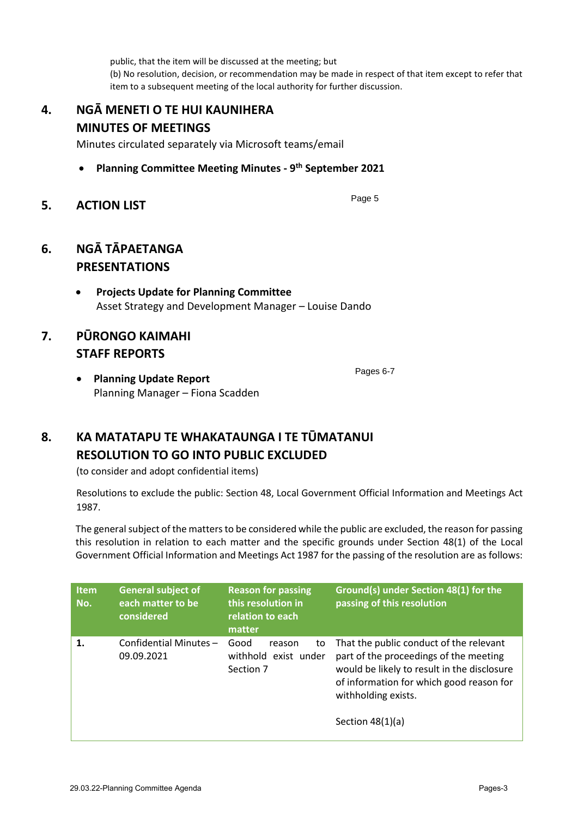public, that the item will be discussed at the meeting; but (b) No resolution, decision, or recommendation may be made in respect of that item except to refer that item to a subsequent meeting of the local authority for further discussion.

# **4. NGĀ MENETI O TE HUI KAUNIHERA MINUTES OF MEETINGS**

Minutes circulated separately via Microsoft teams/email

- **Planning Committee Meeting Minutes 9th September 2021**
- **5. ACTION LIST**

## **6. NGĀ TĀPAETANGA PRESENTATIONS**

 **Projects Update for Planning Committee**  Asset Strategy and Development Manager – Louise Dando

# **7. PŪRONGO KAIMAHI STAFF REPORTS**

Pages 6-7

Page 5

 **Planning Update Report**  Planning Manager – Fiona Scadden

# **8. KA MATATAPU TE WHAKATAUNGA I TE TŪMATANUI RESOLUTION TO GO INTO PUBLIC EXCLUDED**

(to consider and adopt confidential items)

Resolutions to exclude the public: Section 48, Local Government Official Information and Meetings Act 1987.

The general subject of the matters to be considered while the public are excluded, the reason for passing this resolution in relation to each matter and the specific grounds under Section 48(1) of the Local Government Official Information and Meetings Act 1987 for the passing of the resolution are as follows:

| <b>Item</b><br>No. | <b>General subject of</b><br>each matter to be<br>considered | <b>Reason for passing</b><br>this resolution in<br>relation to each<br>matter | Ground(s) under Section 48(1) for the<br>passing of this resolution                                                                                                                                                       |
|--------------------|--------------------------------------------------------------|-------------------------------------------------------------------------------|---------------------------------------------------------------------------------------------------------------------------------------------------------------------------------------------------------------------------|
| 1.                 | Confidential Minutes-<br>09.09.2021                          | Good<br>reason<br>to<br>withhold exist under<br>Section 7                     | That the public conduct of the relevant<br>part of the proceedings of the meeting<br>would be likely to result in the disclosure<br>of information for which good reason for<br>withholding exists.<br>Section $48(1)(a)$ |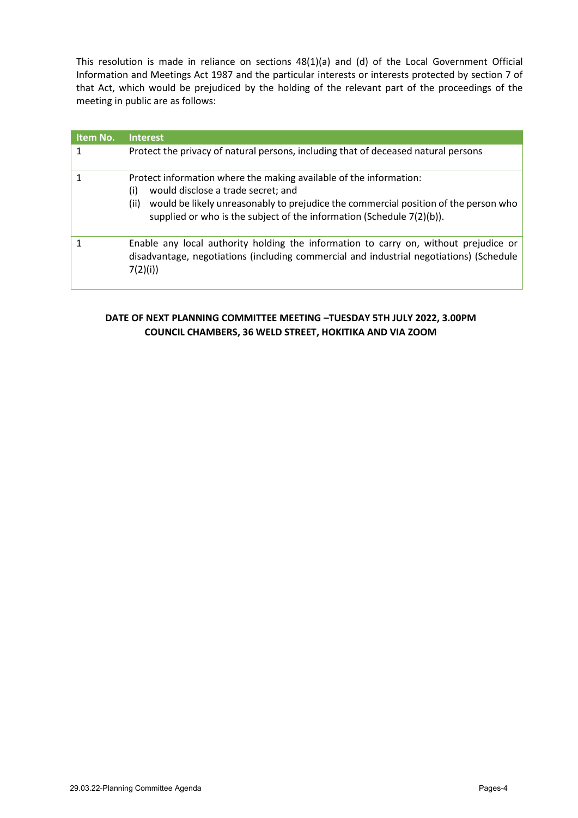This resolution is made in reliance on sections 48(1)(a) and (d) of the Local Government Official Information and Meetings Act 1987 and the particular interests or interests protected by section 7 of that Act, which would be prejudiced by the holding of the relevant part of the proceedings of the meeting in public are as follows:

| <b>Item No.</b> | <b>Interest</b>                                                                                                                                                                                                                                                                         |
|-----------------|-----------------------------------------------------------------------------------------------------------------------------------------------------------------------------------------------------------------------------------------------------------------------------------------|
|                 | Protect the privacy of natural persons, including that of deceased natural persons                                                                                                                                                                                                      |
|                 | Protect information where the making available of the information:<br>(i)<br>would disclose a trade secret; and<br>would be likely unreasonably to prejudice the commercial position of the person who<br>(ii)<br>supplied or who is the subject of the information (Schedule 7(2)(b)). |
|                 | Enable any local authority holding the information to carry on, without prejudice or<br>disadvantage, negotiations (including commercial and industrial negotiations) (Schedule<br>7(2)(i)                                                                                              |

### **DATE OF NEXT PLANNING COMMITTEE MEETING –TUESDAY 5TH JULY 2022, 3.00PM COUNCIL CHAMBERS, 36 WELD STREET, HOKITIKA AND VIA ZOOM**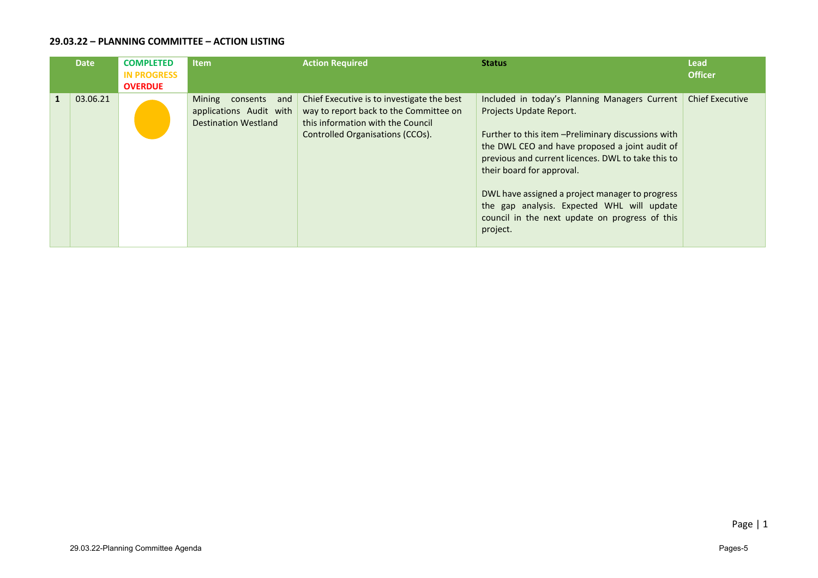### **29.03.22 – PLANNING COMMITTEE – ACTION LISTING**

| <b>Date</b> | <b>COMPLETED</b><br><b>IN PROGRESS</b><br><b>OVERDUE</b> | <b>Item</b>                                                                         | <b>Action Required</b>                                                                                                                                        | <b>Status</b>                                                                                                                                                                                                                                                                                                                                                                                                                       | <b>Lead</b><br><b>Officer</b> |
|-------------|----------------------------------------------------------|-------------------------------------------------------------------------------------|---------------------------------------------------------------------------------------------------------------------------------------------------------------|-------------------------------------------------------------------------------------------------------------------------------------------------------------------------------------------------------------------------------------------------------------------------------------------------------------------------------------------------------------------------------------------------------------------------------------|-------------------------------|
| 03.06.21    |                                                          | Mining<br>consents<br>and<br>applications Audit with<br><b>Destination Westland</b> | Chief Executive is to investigate the best<br>way to report back to the Committee on<br>this information with the Council<br>Controlled Organisations (CCOs). | Included in today's Planning Managers Current<br>Projects Update Report.<br>Further to this item - Preliminary discussions with<br>the DWL CEO and have proposed a joint audit of<br>previous and current licences. DWL to take this to<br>their board for approval.<br>DWL have assigned a project manager to progress<br>the gap analysis. Expected WHL will update<br>council in the next update on progress of this<br>project. | <b>Chief Executive</b>        |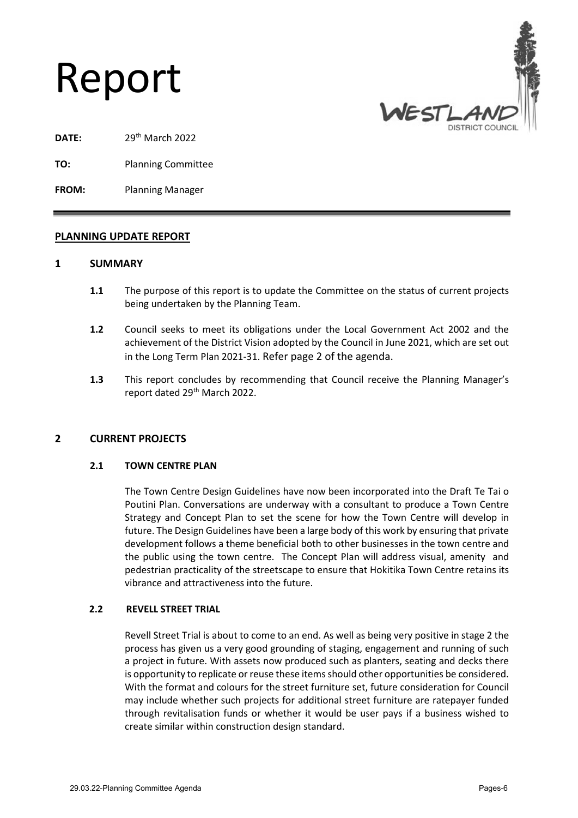# Report



- **DATE:** 29th March 2022
- **TO:** Planning Committee

**FROM:** Planning Manager

### **PLANNING UPDATE REPORT**

### **1 SUMMARY**

- **1.1** The purpose of this report is to update the Committee on the status of current projects being undertaken by the Planning Team.
- **1.2** Council seeks to meet its obligations under the Local Government Act 2002 and the achievement of the District Vision adopted by the Council in June 2021, which are set out in the Long Term Plan 2021-31. Refer page 2 of the agenda.
- **1.3** This report concludes by recommending that Council receive the Planning Manager's report dated 29<sup>th</sup> March 2022.

### **2 CURRENT PROJECTS**

### **2.1 TOWN CENTRE PLAN**

The Town Centre Design Guidelines have now been incorporated into the Draft Te Tai o Poutini Plan. Conversations are underway with a consultant to produce a Town Centre Strategy and Concept Plan to set the scene for how the Town Centre will develop in future. The Design Guidelines have been a large body of this work by ensuring that private development follows a theme beneficial both to other businesses in the town centre and the public using the town centre. The Concept Plan will address visual, amenity and pedestrian practicality of the streetscape to ensure that Hokitika Town Centre retains its vibrance and attractiveness into the future.

### **2.2 REVELL STREET TRIAL**

Revell Street Trial is about to come to an end. As well as being very positive in stage 2 the process has given us a very good grounding of staging, engagement and running of such a project in future. With assets now produced such as planters, seating and decks there is opportunity to replicate or reuse these items should other opportunities be considered. With the format and colours for the street furniture set, future consideration for Council may include whether such projects for additional street furniture are ratepayer funded through revitalisation funds or whether it would be user pays if a business wished to create similar within construction design standard.